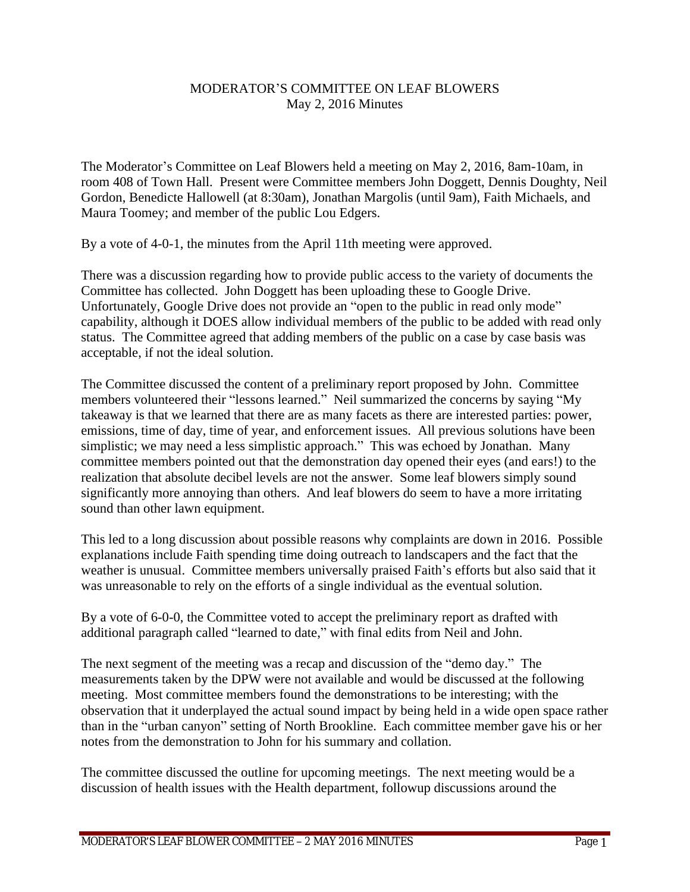## MODERATOR'S COMMITTEE ON LEAF BLOWERS May 2, 2016 Minutes

The Moderator's Committee on Leaf Blowers held a meeting on May 2, 2016, 8am-10am, in room 408 of Town Hall. Present were Committee members John Doggett, Dennis Doughty, Neil Gordon, Benedicte Hallowell (at 8:30am), Jonathan Margolis (until 9am), Faith Michaels, and Maura Toomey; and member of the public Lou Edgers.

By a vote of 4-0-1, the minutes from the April 11th meeting were approved.

There was a discussion regarding how to provide public access to the variety of documents the Committee has collected. John Doggett has been uploading these to Google Drive. Unfortunately, Google Drive does not provide an "open to the public in read only mode" capability, although it DOES allow individual members of the public to be added with read only status. The Committee agreed that adding members of the public on a case by case basis was acceptable, if not the ideal solution.

The Committee discussed the content of a preliminary report proposed by John. Committee members volunteered their "lessons learned." Neil summarized the concerns by saying "My takeaway is that we learned that there are as many facets as there are interested parties: power, emissions, time of day, time of year, and enforcement issues. All previous solutions have been simplistic; we may need a less simplistic approach." This was echoed by Jonathan. Many committee members pointed out that the demonstration day opened their eyes (and ears!) to the realization that absolute decibel levels are not the answer. Some leaf blowers simply sound significantly more annoying than others. And leaf blowers do seem to have a more irritating sound than other lawn equipment.

This led to a long discussion about possible reasons why complaints are down in 2016. Possible explanations include Faith spending time doing outreach to landscapers and the fact that the weather is unusual. Committee members universally praised Faith's efforts but also said that it was unreasonable to rely on the efforts of a single individual as the eventual solution.

By a vote of 6-0-0, the Committee voted to accept the preliminary report as drafted with additional paragraph called "learned to date," with final edits from Neil and John.

The next segment of the meeting was a recap and discussion of the "demo day." The measurements taken by the DPW were not available and would be discussed at the following meeting. Most committee members found the demonstrations to be interesting; with the observation that it underplayed the actual sound impact by being held in a wide open space rather than in the "urban canyon" setting of North Brookline. Each committee member gave his or her notes from the demonstration to John for his summary and collation.

The committee discussed the outline for upcoming meetings. The next meeting would be a discussion of health issues with the Health department, followup discussions around the